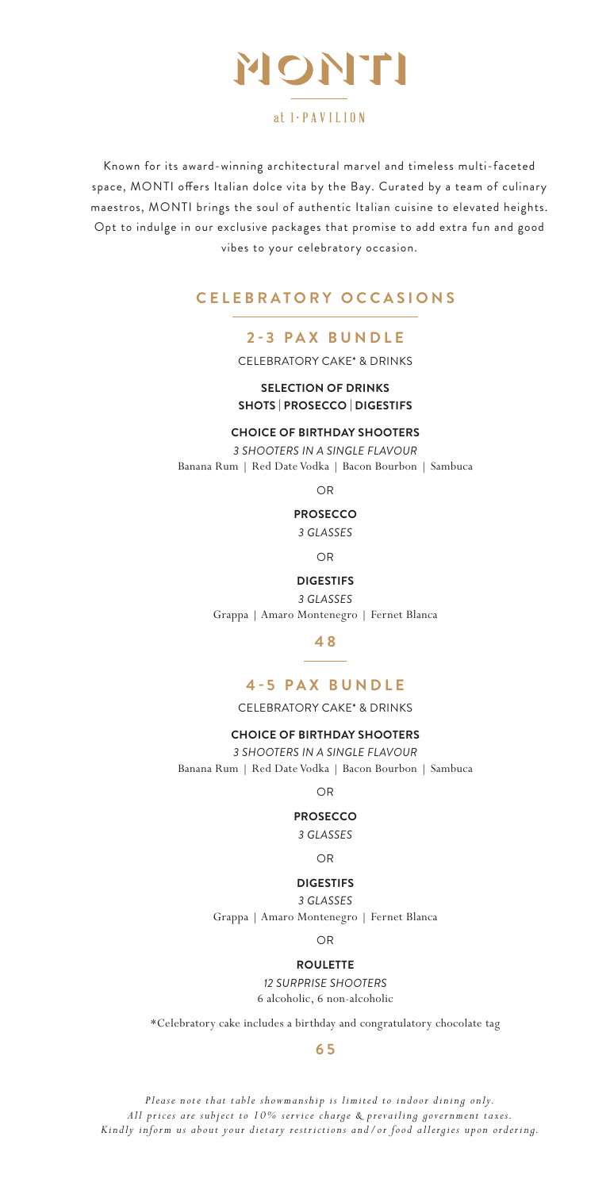

### $at 1$   $\cdot$   $P$   $A$   $V$   $I$   $L$   $I$   $0$   $N$

Known for its award-winning architectural marvel and timeless multi-faceted space, MONTI offers Italian dolce vita by the Bay. Curated by a team of culinary maestros, MONTI brings the soul of authentic Italian cuisine to elevated heights. Opt to indulge in our exclusive packages that promise to add extra fun and good vibes to your celebratory occasion.

### **CELEBRATORY OCCASIONS**

### **2-3 PAX BUNDLE**

CELEBRATORY CAKE\* & DRINKS

### **SELECTION OF DRINKS SHOTS | PROSECCO | DIGESTIFS**

#### **CHOICE OF BIRTHDAY SHOOTERS**

*3 SHOOTERS IN A SINGLE FLAVOUR* Banana Rum | Red Date Vodka | Bacon Bourbon | Sambuca

 $\cap$ 

#### **PROSECCO**

*3 GLASSES*

OR

#### **DIGESTIFS**

*3 GLASSES* Grappa | Amaro Montenegro | Fernet Blanca

**4 8**

#### **4-5 PAX BUNDLE**

CELEBRATORY CAKE\* & DRINKS

#### **CHOICE OF BIRTHDAY SHOOTERS**

*3 SHOOTERS IN A SINGLE FLAVOUR* Banana Rum | Red Date Vodka | Bacon Bourbon | Sambuca

OR

### **PROSECCO**

*3 GLASSES*

OR

#### **DIGESTIFS**

*3 GLASSES* Grappa | Amaro Montenegro | Fernet Blanca

#### OR

#### **ROULETTE**

*12 SURPRISE SHOOTERS* 6 alcoholic, 6 non-alcoholic

\*Celebratory cake includes a birthday and congratulatory chocolate tag

#### **6 5**

*Please note that table showmanship is limited to indoor dining only. All prices are subject to 10% service charge & prevailing government taxes. Kindly inform us about your dietary restrictions and/or food allergies upon ordering.*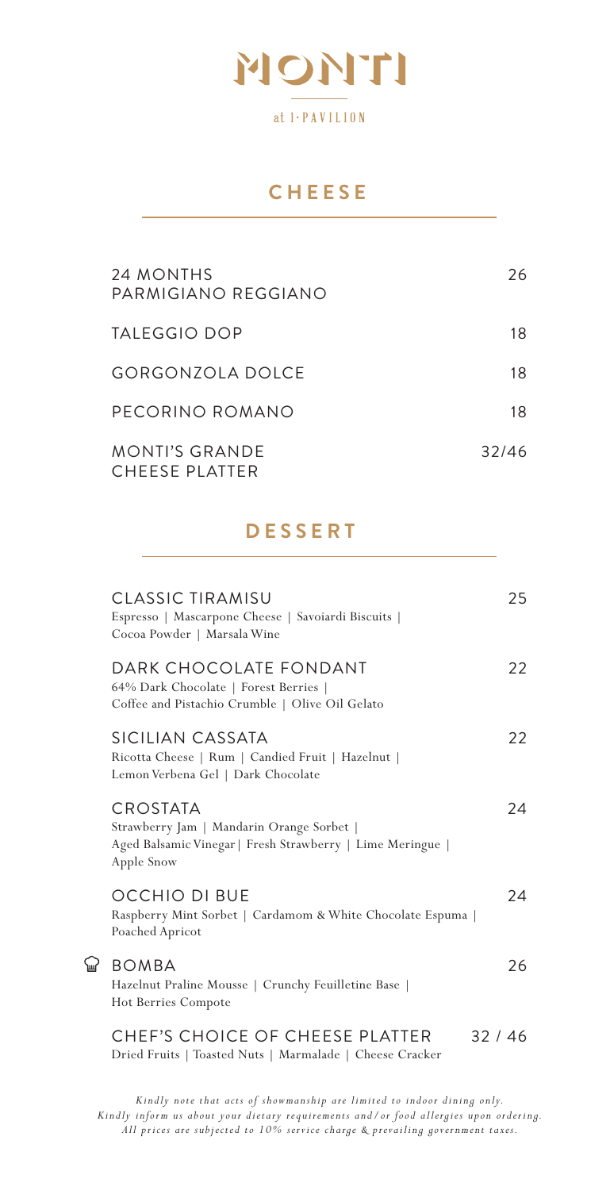

## **CHEESE**

| 24 MONTHS<br>PARMIGIANO REGGIANO        | 26    |
|-----------------------------------------|-------|
| TALEGGIO DOP                            | 18    |
| GORGONZOLA DOLCE                        | 18    |
| PECORINO ROMANO                         | 18    |
| <b>MONTI'S GRANDE</b><br>CHEESE PLATTER | 32/46 |

## **DESSERT**

| CLASSIC TIRAMISU<br>Espresso   Mascarpone Cheese   Savoiardi Biscuits  <br>Cocoa Powder   Marsala Wine                            | 25    |
|-----------------------------------------------------------------------------------------------------------------------------------|-------|
| DARK CHOCOLATE FONDANT<br>64% Dark Chocolate   Forest Berries  <br>Coffee and Pistachio Crumble   Olive Oil Gelato                | 22    |
| SICILIAN CASSATA<br>Ricotta Cheese   Rum   Candied Fruit   Hazelnut  <br>Lemon Verbena Gel   Dark Chocolate                       | 22    |
| CROSTATA<br>Strawberry Jam   Mandarin Orange Sorbet  <br>Aged Balsamic Vinegar   Fresh Strawberry   Lime Meringue  <br>Apple Snow | 24    |
| OCCHIO DI BUE<br>Raspberry Mint Sorbet   Cardamom & White Chocolate Espuma  <br>Poached Apricot                                   | 24    |
| <b>BOMBA</b><br>Hazelnut Praline Mousse   Crunchy Feuilletine Base  <br>Hot Berries Compote                                       | 26    |
| CHEF'S CHOICE OF CHEESE PLATTER                                                                                                   | 32/46 |

Dried Fruits | Toasted Nuts | Marmalade | Cheese Cracker

 $\mathbb{Q}$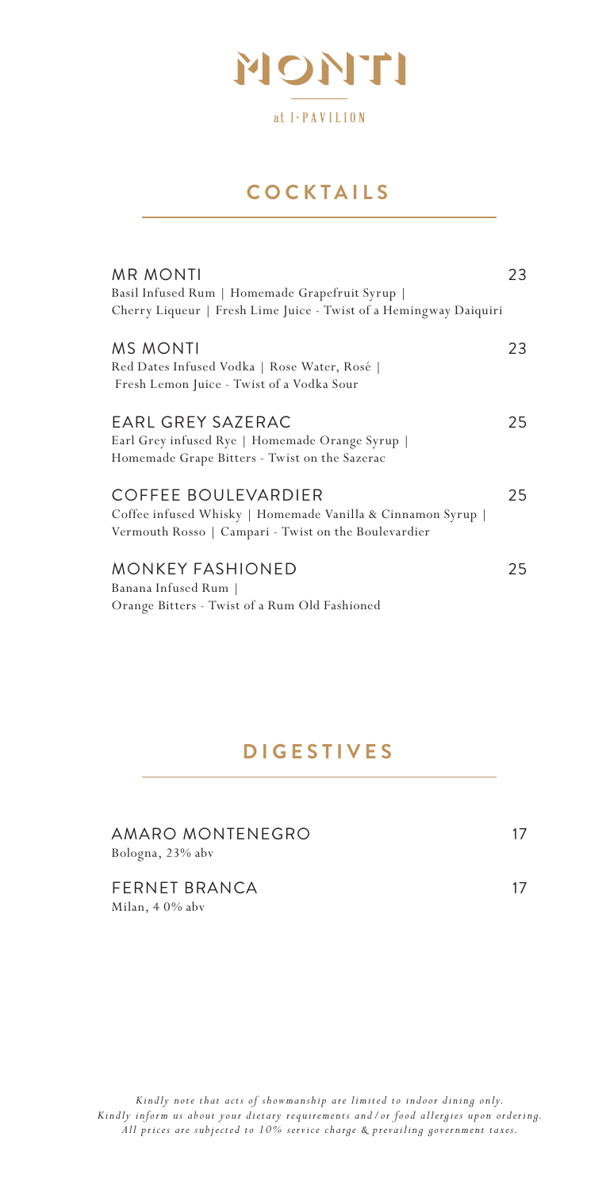

## **COCKTAILS**

| MR MONTI                                                                                                                                   | 23 |
|--------------------------------------------------------------------------------------------------------------------------------------------|----|
| Basil Infused Rum   Homemade Grapefruit Syrup                                                                                              |    |
| Cherry Liqueur   Fresh Lime Juice - Twist of a Hemingway Daiquiri                                                                          |    |
| MS MONTI<br>Red Dates Infused Vodka   Rose Water, Rosé                                                                                     | 23 |
| Fresh Lemon Juice - Twist of a Vodka Sour                                                                                                  |    |
| EARL GREY SAZERAC<br>Earl Grey infused Rye   Homemade Orange Syrup  <br>Homemade Grape Bitters - Twist on the Sazerac                      | 25 |
| COFFEE BOULEVARDIER<br>Coffee infused Whisky   Homemade Vanilla & Cinnamon Syrup  <br>Vermouth Rosso   Campari - Twist on the Boulevardier | 25 |
| MONKEY FASHIONED<br>Banana Infused Rum  <br>Orange Bitters - Twist of a Rum Old Fashioned                                                  | 25 |

# **DIGESTIVES**

| AMARO MONTENEGRO<br>Bologna, 23% abv | 17 |
|--------------------------------------|----|
| FERNET BRANCA<br>Milan, 40% abv      | 17 |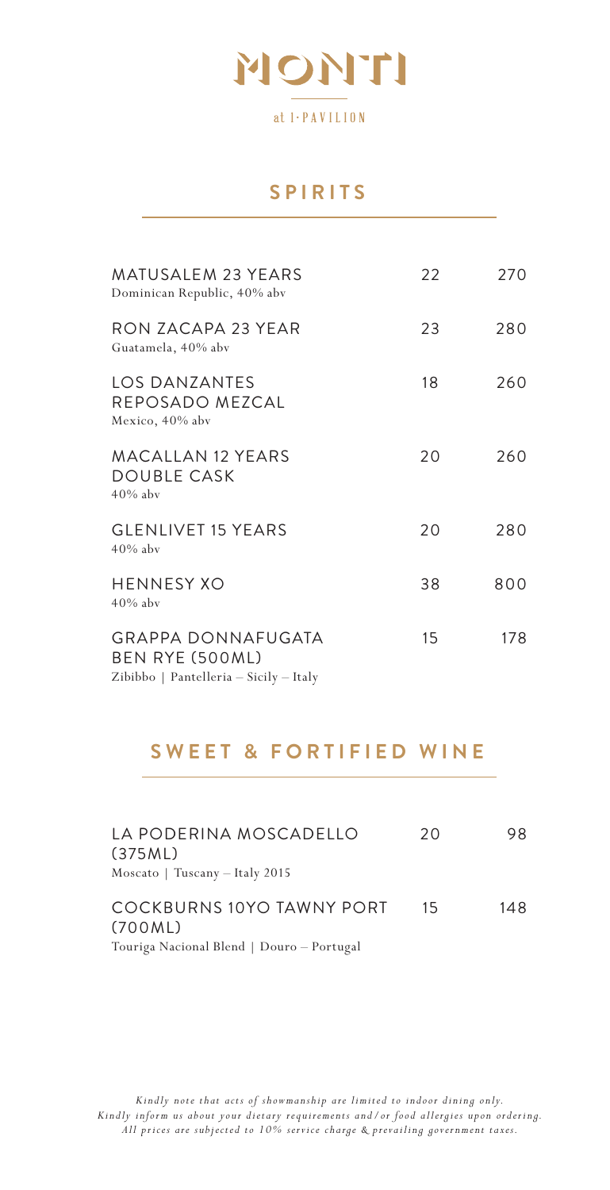

### **SPIRITS**

| <b>MATUSALEM 23 YEARS</b><br>Dominican Republic, 40% abv                        | 22 | 270 |
|---------------------------------------------------------------------------------|----|-----|
| RON ZACAPA 23 YEAR<br>Guatamela, 40% abv                                        | 23 | 280 |
| LOS DANZANTES<br>REPOSADO MEZCAL<br>Mexico, 40% abv                             | 18 | 260 |
| <b>MACALLAN 12 YEARS</b><br>DOUBLE CASK<br>$40\%$ aby                           | 20 | 260 |
| <b>GLENLIVET 15 YEARS</b><br>$40\%$ aby                                         | 20 | 280 |
| HENNESY XO<br>$40\%$ aby                                                        | 38 | 800 |
| GRAPPA DONNAFUGATA<br>BEN RYE (500ML)<br>Zibibbo   Pantelleria - Sicily - Italy | 15 | 178 |

# **SWEET & FORTIFIED WINE**

| LA PODERINA MOSCADELLO<br>(375ML)<br>Moscato   Tuscany - Italy 2015               | 20 | 98. |
|-----------------------------------------------------------------------------------|----|-----|
| COCKBURNS 10YO TAWNY PORT<br>(700ML)<br>Touriga Nacional Blend   Douro - Portugal | 15 | 148 |